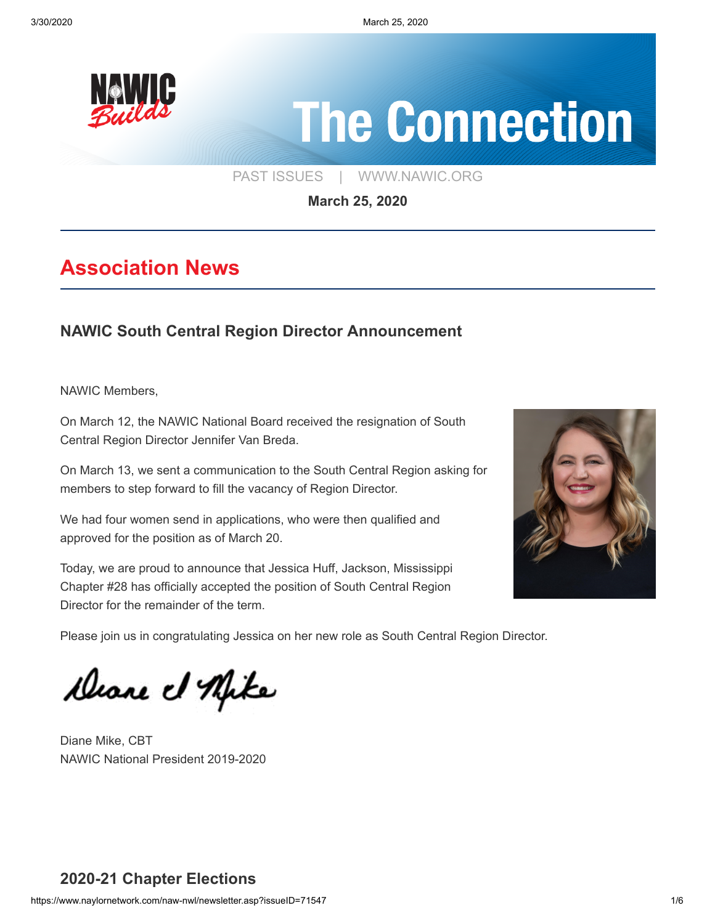

# **The Connection**

[PAST ISSUES](https://www.naylornetwork.com/naw-nwl/index.asp) | [WWW.NAWIC.ORG](https://www.nawic.org/nawic/default.asp)

**March 25, 2020**

## **Association News**

## **[NAWIC South Central Region Director Announcement](https://www.naylornetwork.com/naw-nwl/articles/index.asp?aid=608877&issueID=71547)**

NAWIC Members,

On March 12, the NAWIC National Board received the resignation of South Central Region Director Jennifer Van Breda.

On March 13, we sent a communication to the South Central Region asking for members to step forward to fill the vacancy of Region Director.

We had four women send in applications, who were then qualified and approved for the position as of March 20.

Today, we are proud to announce that Jessica Huff, Jackson, Mississippi Chapter #28 has officially accepted the position of South Central Region Director for the remainder of the term.



Please join us in congratulating Jessica on her new role as South Central Region Director.

Deane et Mike

Diane Mike, CBT NAWIC National President 2019-2020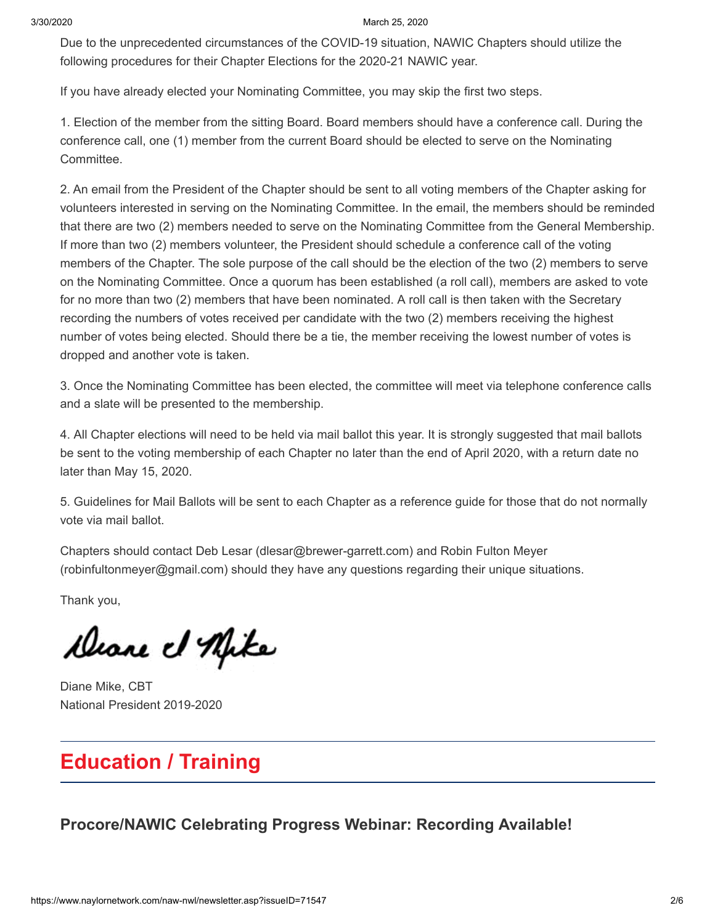3/30/2020 March 25, 2020

Due to the unprecedented circumstances of the COVID-19 situation, NAWIC Chapters should utilize the following procedures for their Chapter Elections for the 2020-21 NAWIC year.

If you have already elected your Nominating Committee, you may skip the first two steps.

1. Election of the member from the sitting Board. Board members should have a conference call. During the conference call, one (1) member from the current Board should be elected to serve on the Nominating Committee.

2. An email from the President of the Chapter should be sent to all voting members of the Chapter asking for volunteers interested in serving on the Nominating Committee. In the email, the members should be reminded that there are two (2) members needed to serve on the Nominating Committee from the General Membership. If more than two (2) members volunteer, the President should schedule a conference call of the voting members of the Chapter. The sole purpose of the call should be the election of the two (2) members to serve on the Nominating Committee. Once a quorum has been established (a roll call), members are asked to vote for no more than two (2) members that have been nominated. A roll call is then taken with the Secretary recording the numbers of votes received per candidate with the two (2) members receiving the highest number of votes being elected. Should there be a tie, the member receiving the lowest number of votes is dropped and another vote is taken.

3. Once the Nominating Committee has been elected, the committee will meet via telephone conference calls and a slate will be presented to the membership.

4. All Chapter elections will need to be held via mail ballot this year. It is strongly suggested that mail ballots be sent to the voting membership of each Chapter no later than the end of April 2020, with a return date no later than May 15, 2020.

5. Guidelines for Mail Ballots will be sent to each Chapter as a reference guide for those that do not normally vote via mail ballot.

Chapters should contact Deb Lesar (dlesar@brewer-garrett.com) and Robin Fulton Meyer (robinfultonmeyer@gmail.com) should they have any questions regarding their unique situations.

Thank you,

Deane et Afike

Diane Mike, CBT National President 2019-2020

## **Education / Training**

**[Procore/NAWIC Celebrating Progress Webinar: Recording Available!](https://blog.procore.com/celebrating-progress-and-building-a-better-future-for-women-in-construction/)**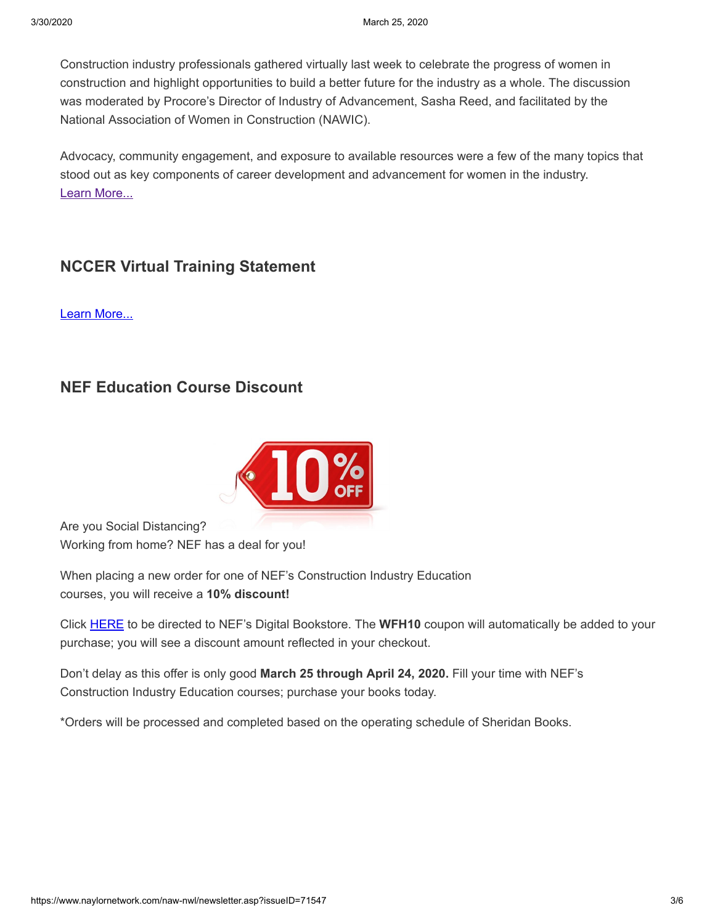Construction industry professionals gathered virtually last week to celebrate the progress of women in construction and highlight opportunities to build a better future for the industry as a whole. The discussion was moderated by Procore's Director of Industry of Advancement, Sasha Reed, and facilitated by the National Association of Women in Construction (NAWIC).

Advocacy, community engagement, and exposure to available resources were a few of the many topics that stood out as key components of career development and advancement for women in the industry. [Learn More...](https://blog.procore.com/celebrating-progress-and-building-a-better-future-for-women-in-construction/)

#### **[NCCER Virtual Training Statement](https://www.nccer.org/workforce-development-programs/virtual-training)**

[Learn More...](https://www.nccer.org/workforce-development-programs/virtual-training)

### **[NEF Education Course Discount](https://www.naylornetwork.com/naw-nwl/articles/index.asp?aid=608879&issueID=71547)**



Are you Social Distancing? Working from home? NEF has a deal for you!

When placing a new order for one of NEF's Construction Industry Education courses, you will receive a **10% discount!**

Click [HERE](https://nefedu.directfrompublisher.com/) to be directed to NEF's Digital Bookstore. The **WFH10** coupon will automatically be added to your purchase; you will see a discount amount reflected in your checkout.

Don't delay as this offer is only good **March 25 through April 24, 2020.** Fill your time with NEF's Construction Industry Education courses; purchase your books today.

\*Orders will be processed and completed based on the operating schedule of Sheridan Books.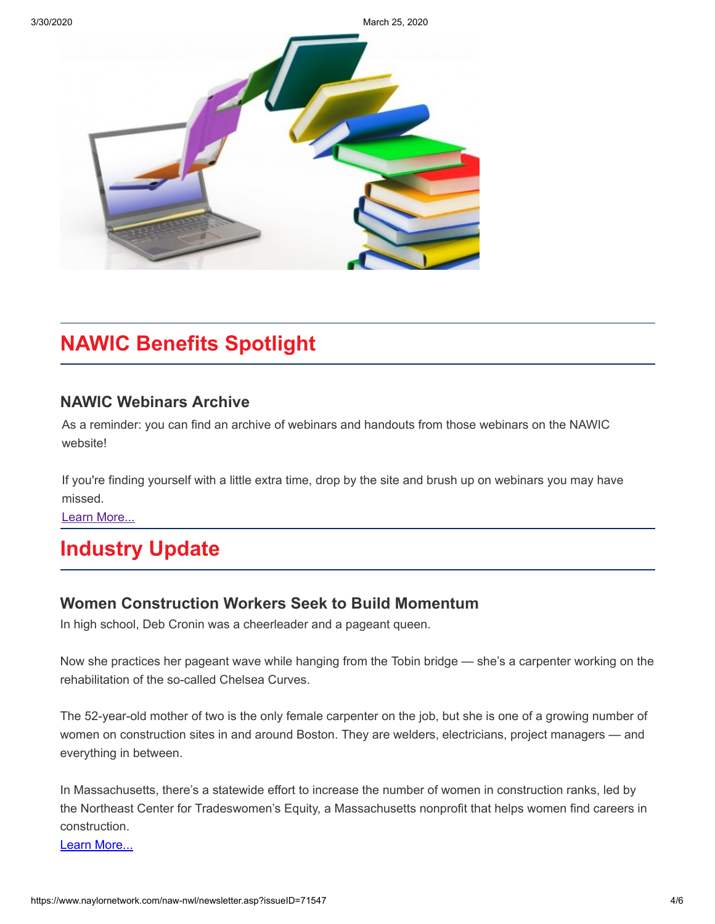3/30/2020 March 25, 2020



## **NAWIC Benefits Spotlight**

#### **[NAWIC Webinars Archive](https://www.nawic.org/nawic/Webinars.asp)**

As a reminder: you can find an archive of webinars and handouts from those webinars on the NAWIC website!

If you're finding yourself with a little extra time, drop by the site and brush up on webinars you may have missed.

[Learn More...](https://www.nawic.org/nawic/Webinars.asp)

## **Industry Update**

#### **[Women Construction Workers Seek to Build Momentum](https://www.bostonglobe.com/2020/03/04/business/women-construction-workers-seek-build-momentum/?fbclid=IwAR3VWDGGrco1omQ_5U34a1e8E0EVGoq_jCJo40N9OB0GQVbhoG__7sOWSqs)**

In high school, Deb Cronin was a cheerleader and a pageant queen.

Now she practices her pageant wave while hanging from the Tobin bridge — she's a carpenter working on the rehabilitation of the so-called Chelsea Curves.

The 52-year-old mother of two is the only female carpenter on the job, but she is one of a growing number of women on construction sites in and around Boston. They are welders, electricians, project managers — and everything in between.

In Massachusetts, there's a statewide effort to increase the number of women in construction ranks, led by the Northeast Center for Tradeswomen's Equity, a Massachusetts nonprofit that helps women find careers in construction.

[Learn More...](https://www.bostonglobe.com/2020/03/04/business/women-construction-workers-seek-build-momentum/?fbclid=IwAR3VWDGGrco1omQ_5U34a1e8E0EVGoq_jCJo40N9OB0GQVbhoG__7sOWSqs)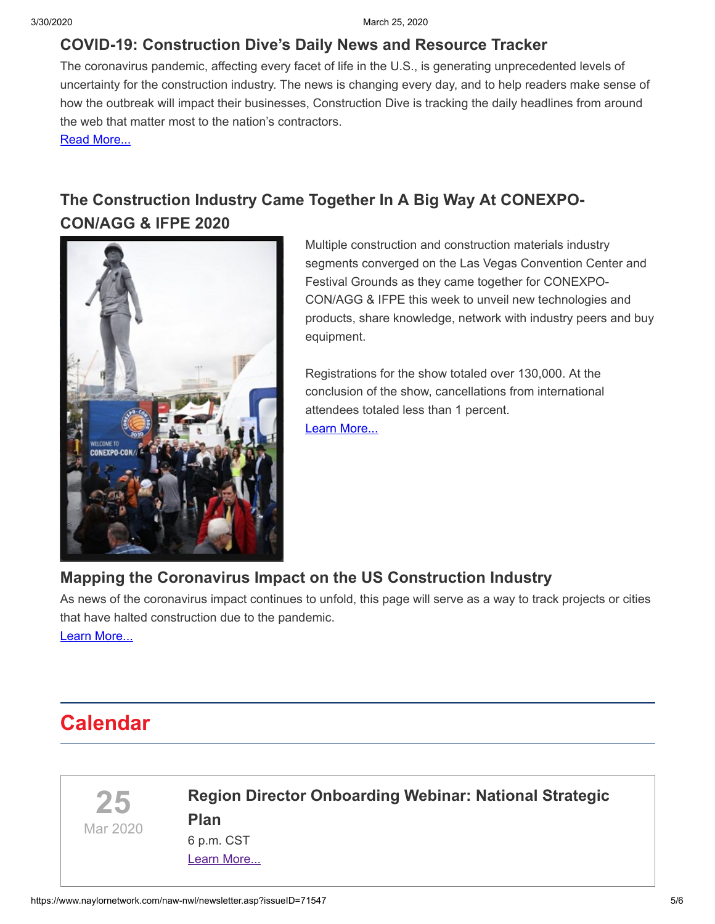#### **[COVID-19: Construction Dive's Daily News and Resource Tracker](https://www.constructiondive.com/news/covid-19-construction-dives-daily-news-and-resource-tracker/574130/)**

The coronavirus pandemic, affecting every facet of life in the U.S., is generating unprecedented levels of uncertainty for the construction industry. The news is changing every day, and to help readers make sense of how the outbreak will impact their businesses, Construction Dive is tracking the daily headlines from around the web that matter most to the nation's contractors.

[Read More...](https://www.constructiondive.com/news/covid-19-construction-dives-daily-news-and-resource-tracker/574130/)

## **[The Construction Industry Came Together In A Big Way At CONEXPO-](https://www.conexpoconagg.com/news/the-construction-industry-came-together-in-a-big-w/)CON/AGG & IFPE 2020**



Multiple construction and construction materials industry segments converged on the Las Vegas Convention Center and Festival Grounds as they came together for CONEXPO-CON/AGG & IFPE this week to unveil new technologies and products, share knowledge, network with industry peers and buy equipment.

Registrations for the show totaled over 130,000. At the conclusion of the show, cancellations from international attendees totaled less than 1 percent. [Learn More...](https://www.conexpoconagg.com/news/the-construction-industry-came-together-in-a-big-w/)

### **[Mapping the Coronavirus Impact on the US Construction Industry](https://www.constructiondive.com/news/mapping-high-impact-construction-across-the-us/551042/)**

As news of the coronavirus impact continues to unfold, this page will serve as a way to track projects or cities that have halted construction due to the pandemic.

[Learn More...](https://www.constructiondive.com/news/mapping-high-impact-construction-across-the-us/551042/)

## **Calendar**



## **[Region Director Onboarding Webinar: National Strategic](https://www.nawic.org/nawic/Webinars.asp) Plan**

6 p.m. CST [Learn More...](https://www.nawic.org/nawic/Webinars.asp)